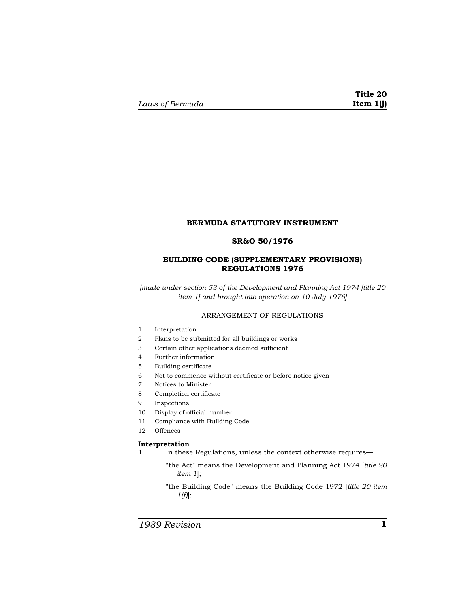#### **BERMUDA STATUTORY INSTRUMENT**

# **SR&O 50/1976**

# **BUILDING CODE (SUPPLEMENTARY PROVISIONS) REGULATIONS 1976**

*[made under section 53 of the Development and Planning Act 1974 [title 20 item 1] and brought into operation on 10 July 1976]* 

# ARRANGEMENT OF REGULATIONS

- 1 Interpretation
- 2 Plans to be submitted for all buildings or works
- 3 Certain other applications deemed sufficient
- 4 Further information
- 5 Building certificate
- 6 Not to commence without certificate or before notice given
- 7 Notices to Minister
- 8 Completion certificate
- 9 Inspections
- 10 Display of official number
- 11 Compliance with Building Code
- 12 Offences

# **Interpretation**

1 In these Regulations, unless the context otherwise requires—

- "the Act" means the Development and Planning Act 1974 [*title 20 item 1*];
- "the Building Code" means the Building Code 1972 [*title 20 item 1(f)*]:

*1989 Revision* **1**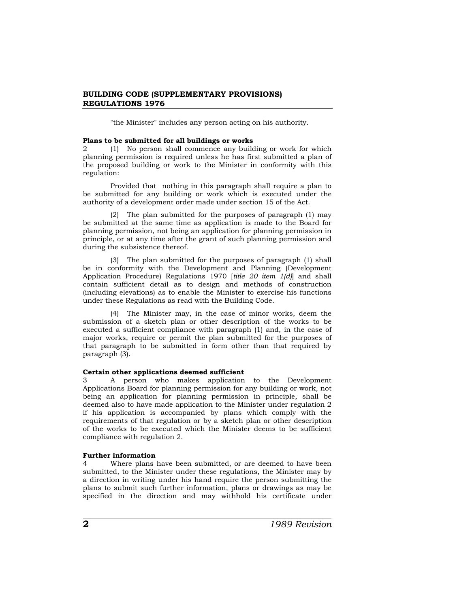# **BUILDING CODE (SUPPLEMENTARY PROVISIONS) REGULATIONS 1976**

"the Minister" includes any person acting on his authority.

#### **Plans to be submitted for all buildings or works**

2 (1) No person shall commence any building or work for which planning permission is required unless he has first submitted a plan of the proposed building or work to the Minister in conformity with this regulation:

Provided that nothing in this paragraph shall require a plan to be submitted for any building or work which is executed under the authority of a development order made under section 15 of the Act.

(2) The plan submitted for the purposes of paragraph (1) may be submitted at the same time as application is made to the Board for planning permission, not being an application for planning permission in principle, or at any time after the grant of such planning permission and during the subsistence thereof.

(3) The plan submitted for the purposes of paragraph (1) shall be in conformity with the Development and Planning (Development Application Procedure) Regulations 1970 [*title 20 item 1(d)*] and shall contain sufficient detail as to design and methods of construction (including elevations) as to enable the Minister to exercise his functions under these Regulations as read with the Building Code.

(4) The Minister may, in the case of minor works, deem the submission of a sketch plan or other description of the works to be executed a sufficient compliance with paragraph (1) and, in the case of major works, require or permit the plan submitted for the purposes of that paragraph to be submitted in form other than that required by paragraph (3).

#### **Certain other applications deemed sufficient**

3 A person who makes application to the Development Applications Board for planning permission for any building or work, not being an application for planning permission in principle, shall be deemed also to have made application to the Minister under regulation 2 if his application is accompanied by plans which comply with the requirements of that regulation or by a sketch plan or other description of the works to be executed which the Minister deems to be sufficient compliance with regulation 2.

#### **Further information**

4 Where plans have been submitted, or are deemed to have been submitted, to the Minister under these regulations, the Minister may by a direction in writing under his hand require the person submitting the plans to submit such further information, plans or drawings as may be specified in the direction and may withhold his certificate under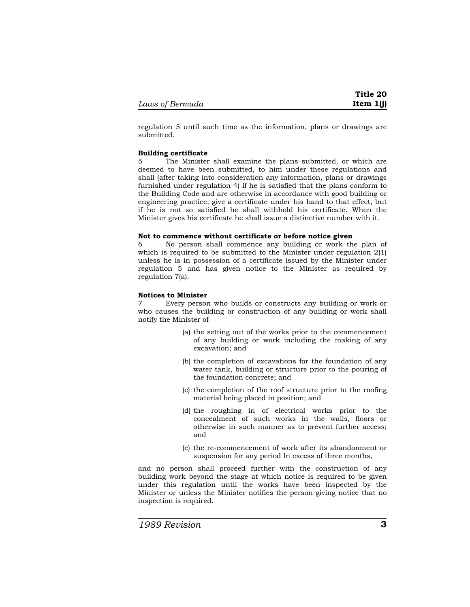regulation 5 until such time as the information, plans or drawings are submitted.

#### **Building certificate**

The Minister shall examine the plans submitted, or which are deemed to have been submitted, to him under these regulations and shall (after taking into consideration any information, plans or drawings furnished under regulation 4) if he is satisfied that the plans conform to the Building Code and are otherwise in accordance with good building or engineering practice, give a certificate under his hand to that effect, but if he is not so satisfied he shall withhold his certificate. When the Minister gives his certificate he shall issue a distinctive number with it.

#### **Not to commence without certificate or before notice given**

6 No person shall commence any building or work the plan of which is required to be submitted to the Minister under regulation 2(1) unless he is in possession of a certificate issued by the Minister under regulation 5 and has given notice to the Minister as required by regulation 7(a).

#### **Notices to Minister**

7 Every person who builds or constructs any building or work or who causes the building or construction of any building or work shall notify the Minister of—

- (a) the setting out of the works prior to the commencement of any building or work including the making of any excavation; and
- (b) the completion of excavations for the foundation of any water tank, building or structure prior to the pouring of the foundation concrete; and
- (c) the completion of the roof structure prior to the roofing material being placed in position; and
- (d) the roughing in of electrical works prior to the concealment of such works in the walls, floors or otherwise in such manner as to prevent further access; and
- (e) the re-commencement of work after its abandonment or suspension for any period In excess of three months,

and no person shall proceed further with the construction of any building work beyond the stage at which notice is required to be given under this regulation until the works have been inspected by the Minister or unless the Minister notifies the person giving notice that no inspection is required.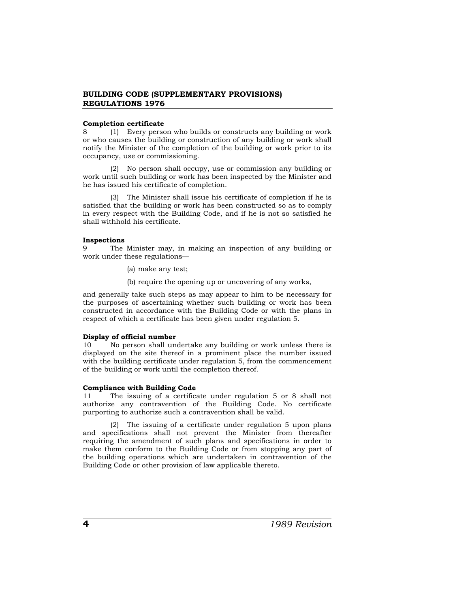# **BUILDING CODE (SUPPLEMENTARY PROVISIONS) REGULATIONS 1976**

#### **Completion certificate**

8 (1) Every person who builds or constructs any building or work or who causes the building or construction of any building or work shall notify the Minister of the completion of the building or work prior to its occupancy, use or commissioning.

(2) No person shall occupy, use or commission any building or work until such building or work has been inspected by the Minister and he has issued his certificate of completion.

(3) The Minister shall issue his certificate of completion if he is satisfied that the building or work has been constructed so as to comply in every respect with the Building Code, and if he is not so satisfied he shall withhold his certificate.

#### **Inspections**

9 The Minister may, in making an inspection of any building or work under these regulations—

(a) make any test;

(b) require the opening up or uncovering of any works,

and generally take such steps as may appear to him to be necessary for the purposes of ascertaining whether such building or work has been constructed in accordance with the Building Code or with the plans in respect of which a certificate has been given under regulation 5.

## **Display of official number**

10 No person shall undertake any building or work unless there is displayed on the site thereof in a prominent place the number issued with the building certificate under regulation 5, from the commencement of the building or work until the completion thereof.

## **Compliance with Building Code**

11 The issuing of a certificate under regulation 5 or 8 shall not authorize any contravention of the Building Code. No certificate purporting to authorize such a contravention shall be valid.

(2) The issuing of a certificate under regulation 5 upon plans and specifications shall not prevent the Minister from thereafter requiring the amendment of such plans and specifications in order to make them conform to the Building Code or from stopping any part of the building operations which are undertaken in contravention of the Building Code or other provision of law applicable thereto.